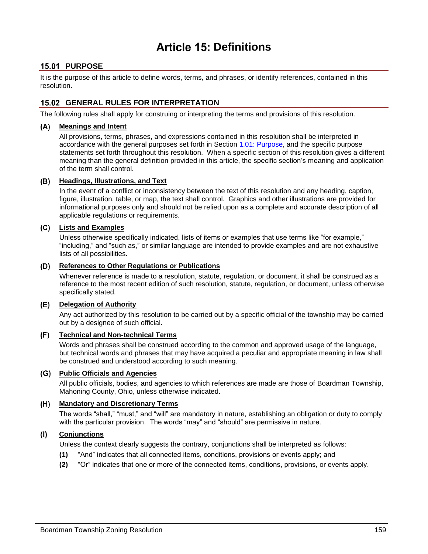# **Article 15: Definitions**

## **15.01 PURPOSE**

It is the purpose of this article to define words, terms, and phrases, or identify references, contained in this resolution.

## **GENERAL RULES FOR INTERPRETATION**

The following rules shall apply for construing or interpreting the terms and provisions of this resolution.

### **Meanings and Intent**

All provisions, terms, phrases, and expressions contained in this resolution shall be interpreted in accordance with the general purposes set forth in Section 1.01: Purpose, and the specific purpose statements set forth throughout this resolution. When a specific section of this resolution gives a different meaning than the general definition provided in this article, the specific section's meaning and application of the term shall control.

### **Headings, Illustrations, and Text**

In the event of a conflict or inconsistency between the text of this resolution and any heading, caption, figure, illustration, table, or map, the text shall control. Graphics and other illustrations are provided for informational purposes only and should not be relied upon as a complete and accurate description of all applicable regulations or requirements.

### **Lists and Examples**

Unless otherwise specifically indicated, lists of items or examples that use terms like "for example," "including," and "such as," or similar language are intended to provide examples and are not exhaustive lists of all possibilities.

### **References to Other Regulations or Publications**

Whenever reference is made to a resolution, statute, regulation, or document, it shall be construed as a reference to the most recent edition of such resolution, statute, regulation, or document, unless otherwise specifically stated.

### **Delegation of Authority**

Any act authorized by this resolution to be carried out by a specific official of the township may be carried out by a designee of such official.

#### $(F)$ **Technical and Non-technical Terms**

Words and phrases shall be construed according to the common and approved usage of the language, but technical words and phrases that may have acquired a peculiar and appropriate meaning in law shall be construed and understood according to such meaning.

### **Public Officials and Agencies**

All public officials, bodies, and agencies to which references are made are those of Boardman Township, Mahoning County, Ohio, unless otherwise indicated.

### **Mandatory and Discretionary Terms**

The words "shall," "must," and "will" are mandatory in nature, establishing an obligation or duty to comply with the particular provision. The words "may" and "should" are permissive in nature.

#### **Conjunctions**  $(1)$

Unless the context clearly suggests the contrary, conjunctions shall be interpreted as follows:

- **(1)** "And" indicates that all connected items, conditions, provisions or events apply; and
- **(2)** "Or" indicates that one or more of the connected items, conditions, provisions, or events apply.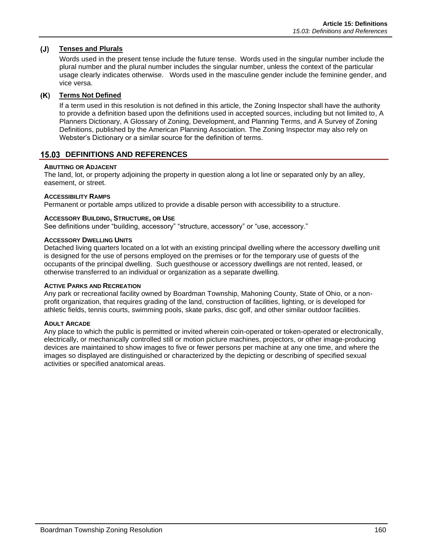#### $(J)$ **Tenses and Plurals**

Words used in the present tense include the future tense. Words used in the singular number include the plural number and the plural number includes the singular number, unless the context of the particular usage clearly indicates otherwise. Words used in the masculine gender include the feminine gender, and vice versa.

### **Terms Not Defined**

If a term used in this resolution is not defined in this article, the Zoning Inspector shall have the authority to provide a definition based upon the definitions used in accepted sources, including but not limited to, A Planners Dictionary, A Glossary of Zoning, Development, and Planning Terms, and A Survey of Zoning Definitions, published by the American Planning Association. The Zoning Inspector may also rely on Webster's Dictionary or a similar source for the definition of terms.

## **15.03 DEFINITIONS AND REFERENCES**

### **ABUTTING OR ADJACENT**

The land, lot, or property adjoining the property in question along a lot line or separated only by an alley, easement, or street.

### **ACCESSIBILITY RAMPS**

Permanent or portable amps utilized to provide a disable person with accessibility to a structure.

### **ACCESSORY BUILDING, STRUCTURE, OR USE**

See definitions under "building, accessory" "structure, accessory" or "use, accessory."

### **ACCESSORY DWELLING UNITS**

Detached living quarters located on a lot with an existing principal dwelling where the accessory dwelling unit is designed for the use of persons employed on the premises or for the temporary use of guests of the occupants of the principal dwelling. Such guesthouse or accessory dwellings are not rented, leased, or otherwise transferred to an individual or organization as a separate dwelling.

### **ACTIVE PARKS AND RECREATION**

Any park or recreational facility owned by Boardman Township, Mahoning County, State of Ohio, or a nonprofit organization, that requires grading of the land, construction of facilities, lighting, or is developed for athletic fields, tennis courts, swimming pools, skate parks, disc golf, and other similar outdoor facilities.

### **ADULT ARCADE**

Any place to which the public is permitted or invited wherein coin-operated or token-operated or electronically, electrically, or mechanically controlled still or motion picture machines, projectors, or other image-producing devices are maintained to show images to five or fewer persons per machine at any one time, and where the images so displayed are distinguished or characterized by the depicting or describing of specified sexual activities or specified anatomical areas.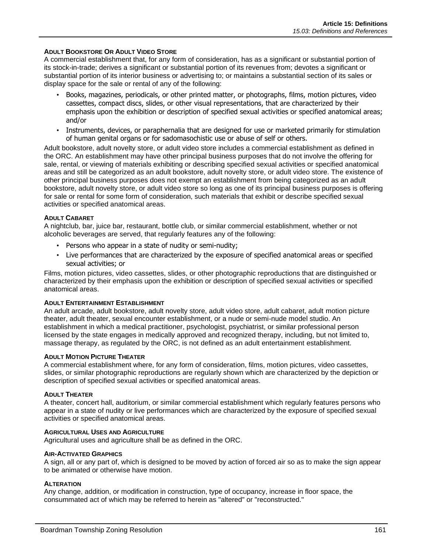### **ADULT BOOKSTORE OR ADULT VIDEO STORE**

A commercial establishment that, for any form of consideration, has as a significant or substantial portion of its stock-in-trade; derives a significant or substantial portion of its revenues from; devotes a significant or substantial portion of its interior business or advertising to; or maintains a substantial section of its sales or display space for the sale or rental of any of the following:

- Books, magazines, periodicals, or other printed matter, or photographs, films, motion pictures, video cassettes, compact discs, slides, or other visual representations, that are characterized by their emphasis upon the exhibition or description of specified sexual activities or specified anatomical areas; and/or
- Instruments, devices, or paraphernalia that are designed for use or marketed primarily for stimulation of human genital organs or for sadomasochistic use or abuse of self or others.

Adult bookstore, adult novelty store, or adult video store includes a commercial establishment as defined in the ORC. An establishment may have other principal business purposes that do not involve the offering for sale, rental, or viewing of materials exhibiting or describing specified sexual activities or specified anatomical areas and still be categorized as an adult bookstore, adult novelty store, or adult video store. The existence of other principal business purposes does not exempt an establishment from being categorized as an adult bookstore, adult novelty store, or adult video store so long as one of its principal business purposes is offering for sale or rental for some form of consideration, such materials that exhibit or describe specified sexual activities or specified anatomical areas.

### **ADULT CABARET**

A nightclub, bar, juice bar, restaurant, bottle club, or similar commercial establishment, whether or not alcoholic beverages are served, that regularly features any of the following:

- Persons who appear in a state of nudity or semi-nudity;
- Live performances that are characterized by the exposure of specified anatomical areas or specified sexual activities; or

Films, motion pictures, video cassettes, slides, or other photographic reproductions that are distinguished or characterized by their emphasis upon the exhibition or description of specified sexual activities or specified anatomical areas.

### **ADULT ENTERTAINMENT ESTABLISHMENT**

An adult arcade, adult bookstore, adult novelty store, adult video store, adult cabaret, adult motion picture theater, adult theater, sexual encounter establishment, or a nude or semi-nude model studio. An establishment in which a medical practitioner, psychologist, psychiatrist, or similar professional person licensed by the state engages in medically approved and recognized therapy, including, but not limited to, massage therapy, as regulated by the ORC, is not defined as an adult entertainment establishment.

### **ADULT MOTION PICTURE THEATER**

A commercial establishment where, for any form of consideration, films, motion pictures, video cassettes, slides, or similar photographic reproductions are regularly shown which are characterized by the depiction or description of specified sexual activities or specified anatomical areas.

### **ADULT THEATER**

A theater, concert hall, auditorium, or similar commercial establishment which regularly features persons who appear in a state of nudity or live performances which are characterized by the exposure of specified sexual activities or specified anatomical areas.

### **AGRICULTURAL USES AND AGRICULTURE**

Agricultural uses and agriculture shall be as defined in the ORC.

### **AIR-ACTIVATED GRAPHICS**

A sign, all or any part of, which is designed to be moved by action of forced air so as to make the sign appear to be animated or otherwise have motion.

### **ALTERATION**

Any change, addition, or modification in construction, type of occupancy, increase in floor space, the consummated act of which may be referred to herein as "altered" or "reconstructed."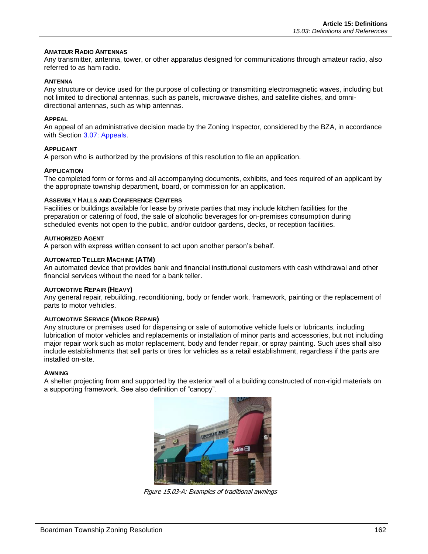### **AMATEUR RADIO ANTENNAS**

Any transmitter, antenna, tower, or other apparatus designed for communications through amateur radio, also referred to as ham radio.

### **ANTENNA**

Any structure or device used for the purpose of collecting or transmitting electromagnetic waves, including but not limited to directional antennas, such as panels, microwave dishes, and satellite dishes, and omnidirectional antennas, such as whip antennas.

### **APPEAL**

An appeal of an administrative decision made by the Zoning Inspector, considered by the BZA, in accordance with Section 3.07: Appeals.

### **APPLICANT**

A person who is authorized by the provisions of this resolution to file an application.

### **APPLICATION**

The completed form or forms and all accompanying documents, exhibits, and fees required of an applicant by the appropriate township department, board, or commission for an application.

### **ASSEMBLY HALLS AND CONFERENCE CENTERS**

Facilities or buildings available for lease by private parties that may include kitchen facilities for the preparation or catering of food, the sale of alcoholic beverages for on-premises consumption during scheduled events not open to the public, and/or outdoor gardens, decks, or reception facilities.

### **AUTHORIZED AGENT**

A person with express written consent to act upon another person's behalf.

### **AUTOMATED TELLER MACHINE (ATM)**

An automated device that provides bank and financial institutional customers with cash withdrawal and other financial services without the need for a bank teller.

#### **AUTOMOTIVE REPAIR (HEAVY)**

Any general repair, rebuilding, reconditioning, body or fender work, framework, painting or the replacement of parts to motor vehicles.

### **AUTOMOTIVE SERVICE (MINOR REPAIR)**

Any structure or premises used for dispensing or sale of automotive vehicle fuels or lubricants, including lubrication of motor vehicles and replacements or installation of minor parts and accessories, but not including major repair work such as motor replacement, body and fender repair, or spray painting. Such uses shall also include establishments that sell parts or tires for vehicles as a retail establishment, regardless if the parts are installed on-site.

#### **AWNING**

A shelter projecting from and supported by the exterior wall of a building constructed of non-rigid materials on a supporting framework. See also definition of "canopy".



Figure 15.03-A: Examples of traditional awnings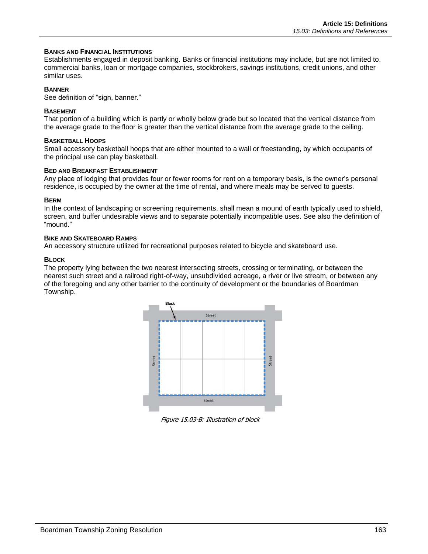### **BANKS AND FINANCIAL INSTITUTIONS**

Establishments engaged in deposit banking. Banks or financial institutions may include, but are not limited to, commercial banks, loan or mortgage companies, stockbrokers, savings institutions, credit unions, and other similar uses.

### **BANNER**

See definition of "sign, banner."

### **BASEMENT**

That portion of a building which is partly or wholly below grade but so located that the vertical distance from the average grade to the floor is greater than the vertical distance from the average grade to the ceiling.

### **BASKETBALL HOOPS**

Small accessory basketball hoops that are either mounted to a wall or freestanding, by which occupants of the principal use can play basketball.

### **BED AND BREAKFAST ESTABLISHMENT**

Any place of lodging that provides four or fewer rooms for rent on a temporary basis, is the owner's personal residence, is occupied by the owner at the time of rental, and where meals may be served to guests.

### **BERM**

In the context of landscaping or screening requirements, shall mean a mound of earth typically used to shield, screen, and buffer undesirable views and to separate potentially incompatible uses. See also the definition of "mound."

### **BIKE AND SKATEBOARD RAMPS**

An accessory structure utilized for recreational purposes related to bicycle and skateboard use.

### **BLOCK**

The property lying between the two nearest intersecting streets, crossing or terminating, or between the nearest such street and a railroad right-of-way, unsubdivided acreage, a river or live stream, or between any of the foregoing and any other barrier to the continuity of development or the boundaries of Boardman Township.



Figure 15.03-B: Illustration of block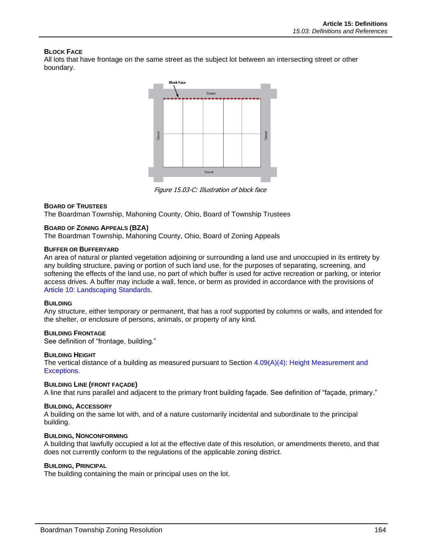### **BLOCK FACE**

All lots that have frontage on the same street as the subject lot between an intersecting street or other boundary.



Figure 15.03-C: Illustration of block face

### **BOARD OF TRUSTEES**

The Boardman Township, Mahoning County, Ohio, Board of Township Trustees

### **BOARD OF ZONING APPEALS (BZA)**

The Boardman Township, Mahoning County, Ohio, Board of Zoning Appeals

### **BUFFER OR BUFFERYARD**

An area of natural or planted vegetation adjoining or surrounding a land use and unoccupied in its entirety by any building structure, paving or portion of such land use, for the purposes of separating, screening, and softening the effects of the land use, no part of which buffer is used for active recreation or parking, or interior access drives. A buffer may include a wall, fence, or berm as provided in accordance with the provisions of Article 10: Landscaping Standards.

### **BUILDING**

Any structure, either temporary or permanent, that has a roof supported by columns or walls, and intended for the shelter, or enclosure of persons, animals, or property of any kind.

### **BUILDING FRONTAGE**

See definition of "frontage, building."

### **BUILDING HEIGHT**

The vertical distance of a building as measured pursuant to Section  $4.09(A)(4)$ : Height Measurement and Exceptions.

### **BUILDING LINE (FRONT FAÇADE)**

A line that runs parallel and adjacent to the primary front building façade. See definition of "façade, primary."

### **BUILDING, ACCESSORY**

A building on the same lot with, and of a nature customarily incidental and subordinate to the principal building.

#### **BUILDING, NONCONFORMING**

A building that lawfully occupied a lot at the effective date of this resolution, or amendments thereto, and that does not currently conform to the regulations of the applicable zoning district.

### **BUILDING, PRINCIPAL**

The building containing the main or principal uses on the lot.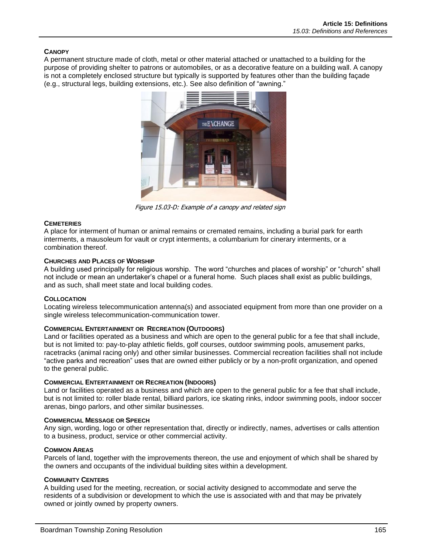### **CANOPY**

A permanent structure made of cloth, metal or other material attached or unattached to a building for the purpose of providing shelter to patrons or automobiles, or as a decorative feature on a building wall. A canopy is not a completely enclosed structure but typically is supported by features other than the building façade (e.g., structural legs, building extensions, etc.). See also definition of "awning."



Figure 15.03-D: Example of a canopy and related sign

### **CEMETERIES**

A place for interment of human or animal remains or cremated remains, including a burial park for earth interments, a mausoleum for vault or crypt interments, a columbarium for cinerary interments, or a combination thereof.

### **CHURCHES AND PLACES OF WORSHIP**

A building used principally for religious worship. The word "churches and places of worship" or "church" shall not include or mean an undertaker's chapel or a funeral home. Such places shall exist as public buildings, and as such, shall meet state and local building codes.

### **COLLOCATION**

Locating wireless telecommunication antenna(s) and associated equipment from more than one provider on a single wireless telecommunication-communication tower.

### **COMMERCIAL ENTERTAINMENT OR RECREATION (OUTDOORS)**

Land or facilities operated as a business and which are open to the general public for a fee that shall include, but is not limited to: pay-to-play athletic fields, golf courses, outdoor swimming pools, amusement parks, racetracks (animal racing only) and other similar businesses. Commercial recreation facilities shall not include "active parks and recreation" uses that are owned either publicly or by a non-profit organization, and opened to the general public.

### **COMMERCIAL ENTERTAINMENT OR RECREATION (INDOORS)**

Land or facilities operated as a business and which are open to the general public for a fee that shall include, but is not limited to: roller blade rental, billiard parlors, ice skating rinks, indoor swimming pools, indoor soccer arenas, bingo parlors, and other similar businesses.

### **COMMERCIAL MESSAGE OR SPEECH**

Any sign, wording, logo or other representation that, directly or indirectly, names, advertises or calls attention to a business, product, service or other commercial activity.

### **COMMON AREAS**

Parcels of land, together with the improvements thereon, the use and enjoyment of which shall be shared by the owners and occupants of the individual building sites within a development.

### **COMMUNITY CENTERS**

A building used for the meeting, recreation, or social activity designed to accommodate and serve the residents of a subdivision or development to which the use is associated with and that may be privately owned or jointly owned by property owners.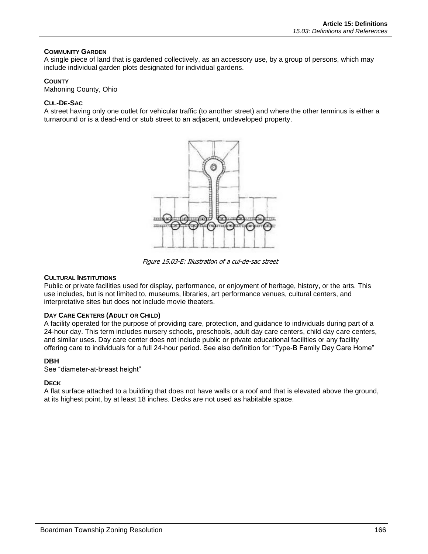### **COMMUNITY GARDEN**

A single piece of land that is gardened collectively, as an accessory use, by a group of persons, which may include individual garden plots designated for individual gardens.

### **COUNTY**

Mahoning County, Ohio

### **CUL-DE-SAC**

A street having only one outlet for vehicular traffic (to another street) and where the other terminus is either a turnaround or is a dead-end or stub street to an adjacent, undeveloped property.



Figure 15.03-E: Illustration of a cul-de-sac street

### **CULTURAL INSTITUTIONS**

Public or private facilities used for display, performance, or enjoyment of heritage, history, or the arts. This use includes, but is not limited to, museums, libraries, art performance venues, cultural centers, and interpretative sites but does not include movie theaters.

### **DAY CARE CENTERS (ADULT OR CHILD)**

A facility operated for the purpose of providing care, protection, and guidance to individuals during part of a 24-hour day. This term includes nursery schools, preschools, adult day care centers, child day care centers, and similar uses. Day care center does not include public or private educational facilities or any facility offering care to individuals for a full 24-hour period. See also definition for "Type-B Family Day Care Home"

### **DBH**

See "diameter-at-breast height"

### **DECK**

A flat surface attached to a building that does not have walls or a roof and that is elevated above the ground, at its highest point, by at least 18 inches. Decks are not used as habitable space.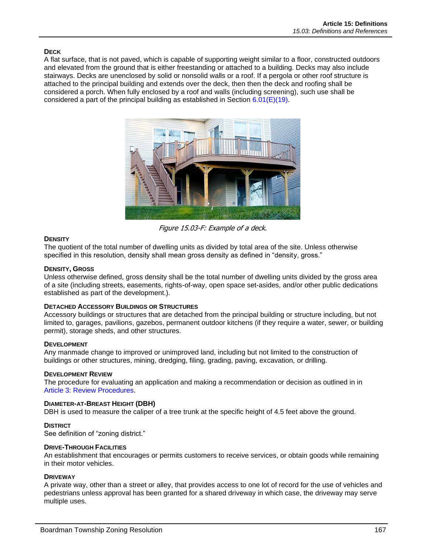### **DECK**

A flat surface, that is not paved, which is capable of supporting weight similar to a floor, constructed outdoors and elevated from the ground that is either freestanding or attached to a building. Decks may also include stairways. Decks are unenclosed by solid or nonsolid walls or a roof. If a pergola or other roof structure is attached to the principal building and extends over the deck, then then the deck and roofing shall be considered a porch. When fully enclosed by a roof and walls (including screening), such use shall be considered a part of the principal building as established in Section  $6.01(E)(19)$ .



Figure 15.03-F: Example of a deck.

### **DENSITY**

The quotient of the total number of dwelling units as divided by total area of the site. Unless otherwise specified in this resolution, density shall mean gross density as defined in "density, gross."

### **DENSITY, GROSS**

Unless otherwise defined, gross density shall be the total number of dwelling units divided by the gross area of a site (including streets, easements, rights-of-way, open space set-asides, and/or other public dedications established as part of the development.).

### **DETACHED ACCESSORY BUILDINGS OR STRUCTURES**

Accessory buildings or structures that are detached from the principal building or structure including, but not limited to, garages, pavilions, gazebos, permanent outdoor kitchens (if they require a water, sewer, or building permit), storage sheds, and other structures.

### **DEVELOPMENT**

Any manmade change to improved or unimproved land, including but not limited to the construction of buildings or other structures, mining, dredging, filing, grading, paving, excavation, or drilling.

### **DEVELOPMENT REVIEW**

The procedure for evaluating an application and making a recommendation or decision as outlined in in Article 3: Review Procedures.

### **DIAMETER-AT-BREAST HEIGHT (DBH)**

DBH is used to measure the caliper of a tree trunk at the specific height of 4.5 feet above the ground.

### **DISTRICT**

See definition of "zoning district."

### **DRIVE-THROUGH FACILITIES**

An establishment that encourages or permits customers to receive services, or obtain goods while remaining in their motor vehicles.

### **DRIVEWAY**

A private way, other than a street or alley, that provides access to one lot of record for the use of vehicles and pedestrians unless approval has been granted for a shared driveway in which case, the driveway may serve multiple uses.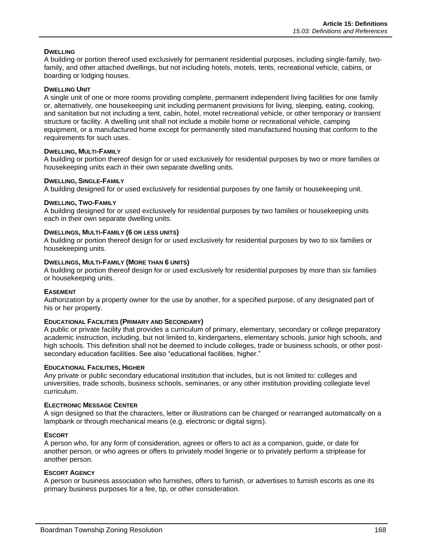### **DWELLING**

A building or portion thereof used exclusively for permanent residential purposes, including single-family, twofamily, and other attached dwellings, but not including hotels, motels, tents, recreational vehicle, cabins, or boarding or lodging houses.

### **DWELLING UNIT**

A single unit of one or more rooms providing complete, permanent independent living facilities for one family or, alternatively, one housekeeping unit including permanent provisions for living, sleeping, eating, cooking, and sanitation but not including a tent, cabin, hotel, motel recreational vehicle, or other temporary or transient structure or facility. A dwelling unit shall not include a mobile home or recreational vehicle, camping equipment, or a manufactured home except for permanently sited manufactured housing that conform to the requirements for such uses.

### **DWELLING, MULTI-FAMILY**

A building or portion thereof design for or used exclusively for residential purposes by two or more families or housekeeping units each in their own separate dwelling units.

### **DWELLING, SINGLE-FAMILY**

A building designed for or used exclusively for residential purposes by one family or housekeeping unit.

### **DWELLING, TWO-FAMILY**

A building designed for or used exclusively for residential purposes by two families or housekeeping units each in their own separate dwelling units.

### **DWELLINGS, MULTI-FAMILY (6 OR LESS UNITS)**

A building or portion thereof design for or used exclusively for residential purposes by two to six families or housekeeping units.

### **DWELLINGS, MULTI-FAMILY (MORE THAN 6 UNITS)**

A building or portion thereof design for or used exclusively for residential purposes by more than six families or housekeeping units.

### **EASEMENT**

Authorization by a property owner for the use by another, for a specified purpose, of any designated part of his or her property.

### **EDUCATIONAL FACILITIES (PRIMARY AND SECONDARY)**

A public or private facility that provides a curriculum of primary, elementary, secondary or college preparatory academic instruction, including, but not limited to, kindergartens, elementary schools, junior high schools, and high schools. This definition shall not be deemed to include colleges, trade or business schools, or other postsecondary education facilities. See also "educational facilities, higher."

#### **EDUCATIONAL FACILITIES, HIGHER**

Any private or public secondary educational institution that includes, but is not limited to: colleges and universities, trade schools, business schools, seminaries, or any other institution providing collegiate level curriculum.

#### **ELECTRONIC MESSAGE CENTER**

A sign designed so that the characters, letter or illustrations can be changed or rearranged automatically on a lampbank or through mechanical means (e.g. electronic or digital signs).

### **ESCORT**

A person who, for any form of consideration, agrees or offers to act as a companion, guide, or date for another person, or who agrees or offers to privately model lingerie or to privately perform a striptease for another person.

### **ESCORT AGENCY**

A person or business association who furnishes, offers to furnish, or advertises to furnish escorts as one its primary business purposes for a fee, tip, or other consideration.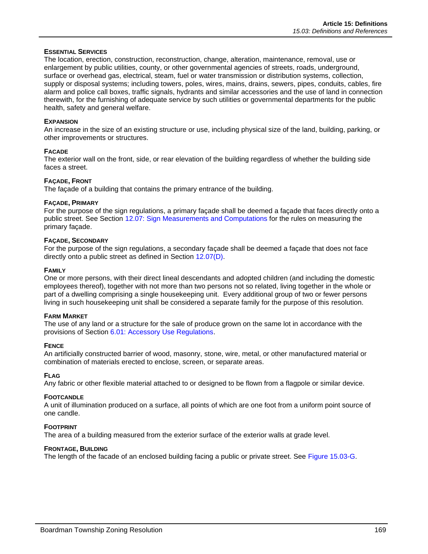### **ESSENTIAL SERVICES**

The location, erection, construction, reconstruction, change, alteration, maintenance, removal, use or enlargement by public utilities, county, or other governmental agencies of streets, roads, underground, surface or overhead gas, electrical, steam, fuel or water transmission or distribution systems, collection, supply or disposal systems; including towers, poles, wires, mains, drains, sewers, pipes, conduits, cables, fire alarm and police call boxes, traffic signals, hydrants and similar accessories and the use of land in connection therewith, for the furnishing of adequate service by such utilities or governmental departments for the public health, safety and general welfare.

### **EXPANSION**

An increase in the size of an existing structure or use, including physical size of the land, building, parking, or other improvements or structures.

### **FACADE**

The exterior wall on the front, side, or rear elevation of the building regardless of whether the building side faces a street.

### **FAÇADE, FRONT**

The façade of a building that contains the primary entrance of the building.

### **FAÇADE, PRIMARY**

For the purpose of the sign regulations, a primary façade shall be deemed a façade that faces directly onto a public street. See Section 12.07: Sign Measurements and Computations for the rules on measuring the primary façade.

### **FAÇADE, SECONDARY**

For the purpose of the sign regulations, a secondary façade shall be deemed a façade that does not face directly onto a public street as defined in Section 12.07(D).

### **FAMILY**

One or more persons, with their direct lineal descendants and adopted children (and including the domestic employees thereof), together with not more than two persons not so related, living together in the whole or part of a dwelling comprising a single housekeeping unit. Every additional group of two or fewer persons living in such housekeeping unit shall be considered a separate family for the purpose of this resolution.

### **FARM MARKET**

The use of any land or a structure for the sale of produce grown on the same lot in accordance with the provisions of Section 6.01: Accessory Use Regulations.

### **FENCE**

An artificially constructed barrier of wood, masonry, stone, wire, metal, or other manufactured material or combination of materials erected to enclose, screen, or separate areas.

### **FLAG**

Any fabric or other flexible material attached to or designed to be flown from a flagpole or similar device.

### **FOOTCANDLE**

A unit of illumination produced on a surface, all points of which are one foot from a uniform point source of one candle.

### **FOOTPRINT**

The area of a building measured from the exterior surface of the exterior walls at grade level.

### **FRONTAGE, BUILDING**

The length of the facade of an enclosed building facing a public or private street. See [Figure 15.03-G.](#page-11-0)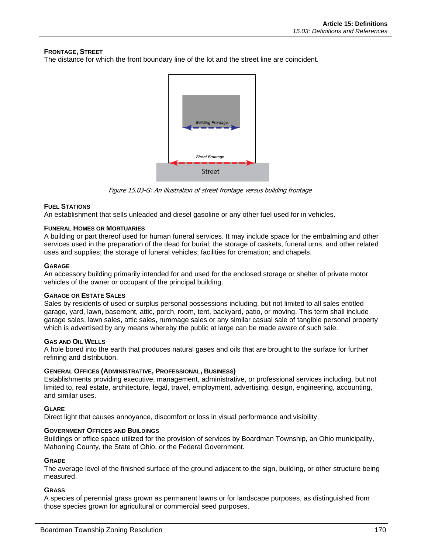### **FRONTAGE, STREET**

The distance for which the front boundary line of the lot and the street line are coincident.



Figure 15.03-G: An illustration of street frontage versus building frontage

### <span id="page-11-0"></span>**FUEL STATIONS**

An establishment that sells unleaded and diesel gasoline or any other fuel used for in vehicles.

### **FUNERAL HOMES OR MORTUARIES**

A building or part thereof used for human funeral services. It may include space for the embalming and other services used in the preparation of the dead for burial; the storage of caskets, funeral urns, and other related uses and supplies; the storage of funeral vehicles; facilities for cremation; and chapels.

### **GARAGE**

An accessory building primarily intended for and used for the enclosed storage or shelter of private motor vehicles of the owner or occupant of the principal building.

### **GARAGE OR ESTATE SALES**

Sales by residents of used or surplus personal possessions including, but not limited to all sales entitled garage, yard, lawn, basement, attic, porch, room, tent, backyard, patio, or moving. This term shall include garage sales, lawn sales, attic sales, rummage sales or any similar casual sale of tangible personal property which is advertised by any means whereby the public at large can be made aware of such sale.

### **GAS AND OIL WELLS**

A hole bored into the earth that produces natural gases and oils that are brought to the surface for further refining and distribution.

### **GENERAL OFFICES (ADMINISTRATIVE, PROFESSIONAL, BUSINESS)**

Establishments providing executive, management, administrative, or professional services including, but not limited to, real estate, architecture, legal, travel, employment, advertising, design, engineering, accounting, and similar uses.

### **GLARE**

Direct light that causes annoyance, discomfort or loss in visual performance and visibility.

### **GOVERNMENT OFFICES AND BUILDINGS**

Buildings or office space utilized for the provision of services by Boardman Township, an Ohio municipality, Mahoning County, the State of Ohio, or the Federal Government.

### **GRADE**

The average level of the finished surface of the ground adjacent to the sign, building, or other structure being measured.

### **GRASS**

A species of perennial grass grown as permanent lawns or for landscape purposes, as distinguished from those species grown for agricultural or commercial seed purposes.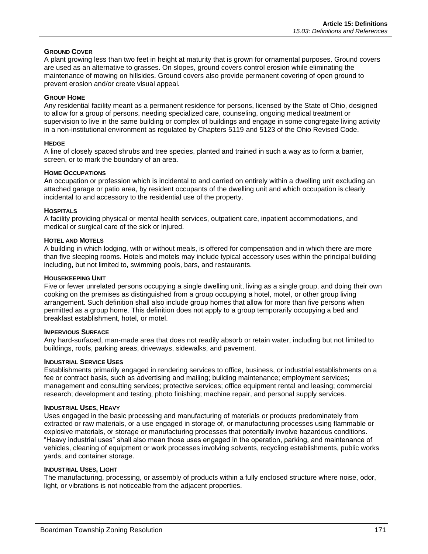### **GROUND COVER**

A plant growing less than two feet in height at maturity that is grown for ornamental purposes. Ground covers are used as an alternative to grasses. On slopes, ground covers control erosion while eliminating the maintenance of mowing on hillsides. Ground covers also provide permanent covering of open ground to prevent erosion and/or create visual appeal.

### **GROUP HOME**

Any residential facility meant as a permanent residence for persons, licensed by the State of Ohio, designed to allow for a group of persons, needing specialized care, counseling, ongoing medical treatment or supervision to live in the same building or complex of buildings and engage in some congregate living activity in a non-institutional environment as regulated by Chapters 5119 and 5123 of the Ohio Revised Code.

### **HEDGE**

A line of closely spaced shrubs and tree species, planted and trained in such a way as to form a barrier, screen, or to mark the boundary of an area.

### **HOME OCCUPATIONS**

An occupation or profession which is incidental to and carried on entirely within a dwelling unit excluding an attached garage or patio area, by resident occupants of the dwelling unit and which occupation is clearly incidental to and accessory to the residential use of the property.

### **HOSPITALS**

A facility providing physical or mental health services, outpatient care, inpatient accommodations, and medical or surgical care of the sick or injured.

### **HOTEL AND MOTELS**

A building in which lodging, with or without meals, is offered for compensation and in which there are more than five sleeping rooms. Hotels and motels may include typical accessory uses within the principal building including, but not limited to, swimming pools, bars, and restaurants.

### **HOUSEKEEPING UNIT**

Five or fewer unrelated persons occupying a single dwelling unit, living as a single group, and doing their own cooking on the premises as distinguished from a group occupying a hotel, motel, or other group living arrangement. Such definition shall also include group homes that allow for more than five persons when permitted as a group home. This definition does not apply to a group temporarily occupying a bed and breakfast establishment, hotel, or motel.

### **IMPERVIOUS SURFACE**

Any hard-surfaced, man-made area that does not readily absorb or retain water, including but not limited to buildings, roofs, parking areas, driveways, sidewalks, and pavement.

### **INDUSTRIAL SERVICE USES**

Establishments primarily engaged in rendering services to office, business, or industrial establishments on a fee or contract basis, such as advertising and mailing; building maintenance; employment services; management and consulting services; protective services; office equipment rental and leasing; commercial research; development and testing; photo finishing; machine repair, and personal supply services.

### **INDUSTRIAL USES, HEAVY**

Uses engaged in the basic processing and manufacturing of materials or products predominately from extracted or raw materials, or a use engaged in storage of, or manufacturing processes using flammable or explosive materials, or storage or manufacturing processes that potentially involve hazardous conditions. "Heavy industrial uses" shall also mean those uses engaged in the operation, parking, and maintenance of vehicles, cleaning of equipment or work processes involving solvents, recycling establishments, public works yards, and container storage.

### **INDUSTRIAL USES, LIGHT**

The manufacturing, processing, or assembly of products within a fully enclosed structure where noise, odor, light, or vibrations is not noticeable from the adjacent properties.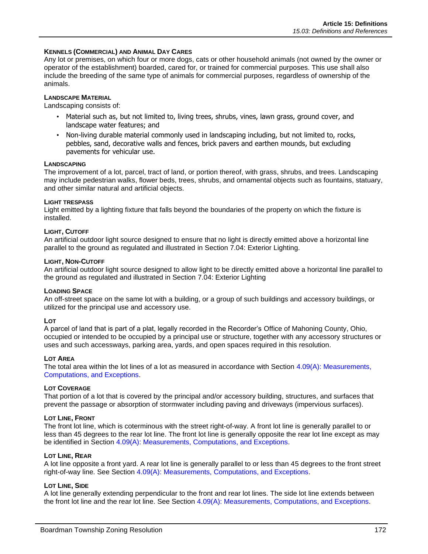### **KENNELS (COMMERCIAL) AND ANIMAL DAY CARES**

Any lot or premises, on which four or more dogs, cats or other household animals (not owned by the owner or operator of the establishment) boarded, cared for, or trained for commercial purposes. This use shall also include the breeding of the same type of animals for commercial purposes, regardless of ownership of the animals.

### **LANDSCAPE MATERIAL**

Landscaping consists of:

- Material such as, but not limited to, living trees, shrubs, vines, lawn grass, ground cover, and landscape water features; and
- Non-living durable material commonly used in landscaping including, but not limited to, rocks, pebbles, sand, decorative walls and fences, brick pavers and earthen mounds, but excluding pavements for vehicular use.

#### **LANDSCAPING**

The improvement of a lot, parcel, tract of land, or portion thereof, with grass, shrubs, and trees. Landscaping may include pedestrian walks, flower beds, trees, shrubs, and ornamental objects such as fountains, statuary, and other similar natural and artificial objects.

#### **LIGHT TRESPASS**

Light emitted by a lighting fixture that falls beyond the boundaries of the property on which the fixture is installed.

### **LIGHT, CUTOFF**

An artificial outdoor light source designed to ensure that no light is directly emitted above a horizontal line parallel to the ground as regulated and illustrated in Section 7.04: Exterior Lighting.

#### **LIGHT, NON-CUTOFF**

An artificial outdoor light source designed to allow light to be directly emitted above a horizontal line parallel to the ground as regulated and illustrated in Section 7.04: Exterior Lighting

#### **LOADING SPACE**

An off-street space on the same lot with a building, or a group of such buildings and accessory buildings, or utilized for the principal use and accessory use.

#### **LOT**

A parcel of land that is part of a plat, legally recorded in the Recorder's Office of Mahoning County, Ohio, occupied or intended to be occupied by a principal use or structure, together with any accessory structures or uses and such accessways, parking area, yards, and open spaces required in this resolution.

#### **LOT AREA**

The total area within the lot lines of a lot as measured in accordance with Section 4.09(A): Measurements, Computations, and Exceptions.

#### **LOT COVERAGE**

That portion of a lot that is covered by the principal and/or accessory building, structures, and surfaces that prevent the passage or absorption of stormwater including paving and driveways (impervious surfaces).

#### **LOT LINE, FRONT**

The front lot line, which is coterminous with the street right-of-way. A front lot line is generally parallel to or less than 45 degrees to the rear lot line. The front lot line is generally opposite the rear lot line except as may be identified in Section 4.09(A): Measurements, Computations, and Exceptions.

#### **LOT LINE, REAR**

A lot line opposite a front yard. A rear lot line is generally parallel to or less than 45 degrees to the front street right-of-way line. See Section 4.09(A): Measurements, Computations, and Exceptions.

### **LOT LINE, SIDE**

A lot line generally extending perpendicular to the front and rear lot lines. The side lot line extends between the front lot line and the rear lot line. See Section 4.09(A): Measurements, Computations, and Exceptions.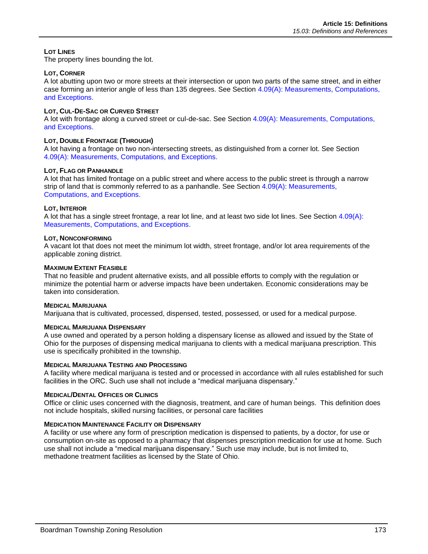### **LOT LINES**

The property lines bounding the lot.

### **LOT, CORNER**

A lot abutting upon two or more streets at their intersection or upon two parts of the same street, and in either case forming an interior angle of less than 135 degrees. See Section 4.09(A): Measurements, Computations, and Exceptions.

### **LOT, CUL-DE-SAC OR CURVED STREET**

A lot with frontage along a curved street or cul-de-sac. See Section 4.09(A): Measurements, Computations, and Exceptions.

### **LOT, DOUBLE FRONTAGE (THROUGH)**

A lot having a frontage on two non-intersecting streets, as distinguished from a corner lot. See Section 4.09(A): Measurements, Computations, and Exceptions.

### **LOT, FLAG OR PANHANDLE**

A lot that has limited frontage on a public street and where access to the public street is through a narrow strip of land that is commonly referred to as a panhandle. See Section 4.09(A): Measurements, Computations, and Exceptions.

### **LOT, INTERIOR**

A lot that has a single street frontage, a rear lot line, and at least two side lot lines. See Section 4.09(A): Measurements, Computations, and Exceptions.

### **LOT, NONCONFORMING**

A vacant lot that does not meet the minimum lot width, street frontage, and/or lot area requirements of the applicable zoning district.

### **MAXIMUM EXTENT FEASIBLE**

That no feasible and prudent alternative exists, and all possible efforts to comply with the regulation or minimize the potential harm or adverse impacts have been undertaken. Economic considerations may be taken into consideration.

### **MEDICAL MARIJUANA**

Marijuana that is cultivated, processed, dispensed, tested, possessed, or used for a medical purpose.

### **MEDICAL MARIJUANA DISPENSARY**

A use owned and operated by a person holding a dispensary license as allowed and issued by the State of Ohio for the purposes of dispensing medical marijuana to clients with a medical marijuana prescription. This use is specifically prohibited in the township.

### **MEDICAL MARIJUANA TESTING AND PROCESSING**

A facility where medical marijuana is tested and or processed in accordance with all rules established for such facilities in the ORC. Such use shall not include a "medical marijuana dispensary."

### **MEDICAL/DENTAL OFFICES OR CLINICS**

Office or clinic uses concerned with the diagnosis, treatment, and care of human beings. This definition does not include hospitals, skilled nursing facilities, or personal care facilities

### **MEDICATION MAINTENANCE FACILITY OR DISPENSARY**

A facility or use where any form of prescription medication is dispensed to patients, by a doctor, for use or consumption on-site as opposed to a pharmacy that dispenses prescription medication for use at home. Such use shall not include a "medical marijuana dispensary." Such use may include, but is not limited to, methadone treatment facilities as licensed by the State of Ohio.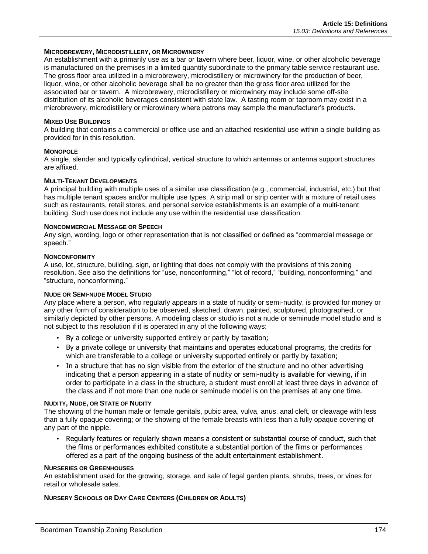### **MICROBREWERY, MICRODISTILLERY, OR MICROWINERY**

An establishment with a primarily use as a bar or tavern where beer, liquor, wine, or other alcoholic beverage is manufactured on the premises in a limited quantity subordinate to the primary table service restaurant use. The gross floor area utilized in a microbrewery, microdistillery or microwinery for the production of beer, liquor, wine, or other alcoholic beverage shall be no greater than the gross floor area utilized for the associated bar or tavern. A microbrewery, microdistillery or microwinery may include some off-site distribution of its alcoholic beverages consistent with state law. A tasting room or taproom may exist in a microbrewery, microdistillery or microwinery where patrons may sample the manufacturer's products.

### **MIXED USE BUILDINGS**

A building that contains a commercial or office use and an attached residential use within a single building as provided for in this resolution.

### **MONOPOLE**

A single, slender and typically cylindrical, vertical structure to which antennas or antenna support structures are affixed.

### **MULTI-TENANT DEVELOPMENTS**

A principal building with multiple uses of a similar use classification (e.g., commercial, industrial, etc.) but that has multiple tenant spaces and/or multiple use types. A strip mall or strip center with a mixture of retail uses such as restaurants, retail stores, and personal service establishments is an example of a multi-tenant building. Such use does not include any use within the residential use classification.

### **NONCOMMERCIAL MESSAGE OR SPEECH**

Any sign, wording, logo or other representation that is not classified or defined as "commercial message or speech."

### **NONCONFORMITY**

A use, lot, structure, building, sign, or lighting that does not comply with the provisions of this zoning resolution. See also the definitions for "use, nonconforming," "lot of record," "building, nonconforming," and "structure, nonconforming."

### **NUDE OR SEMI-NUDE MODEL STUDIO**

Any place where a person, who regularly appears in a state of nudity or semi-nudity, is provided for money or any other form of consideration to be observed, sketched, drawn, painted, sculptured, photographed, or similarly depicted by other persons. A modeling class or studio is not a nude or seminude model studio and is not subject to this resolution if it is operated in any of the following ways:

- By a college or university supported entirely or partly by taxation;
- By a private college or university that maintains and operates educational programs, the credits for which are transferable to a college or university supported entirely or partly by taxation;
- In a structure that has no sign visible from the exterior of the structure and no other advertising indicating that a person appearing in a state of nudity or semi-nudity is available for viewing, if in order to participate in a class in the structure, a student must enroll at least three days in advance of the class and if not more than one nude or seminude model is on the premises at any one time.

### **NUDITY, NUDE, OR STATE OF NUDITY**

The showing of the human male or female genitals, pubic area, vulva, anus, anal cleft, or cleavage with less than a fully opaque covering; or the showing of the female breasts with less than a fully opaque covering of any part of the nipple.

• Regularly features or regularly shown means a consistent or substantial course of conduct, such that the films or performances exhibited constitute a substantial portion of the films or performances offered as a part of the ongoing business of the adult entertainment establishment.

#### **NURSERIES OR GREENHOUSES**

An establishment used for the growing, storage, and sale of legal garden plants, shrubs, trees, or vines for retail or wholesale sales.

### **NURSERY SCHOOLS OR DAY CARE CENTERS (CHILDREN OR ADULTS)**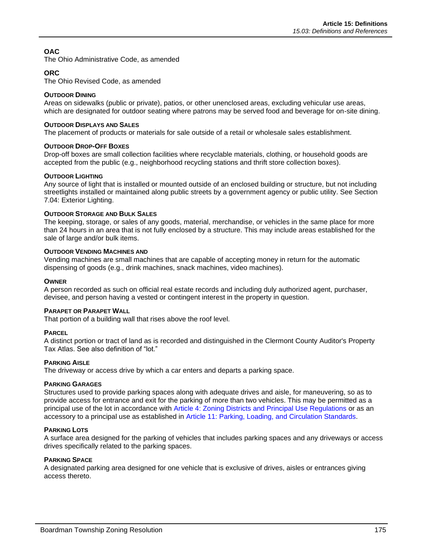## **OAC**

The Ohio Administrative Code, as amended

### **ORC**

The Ohio Revised Code, as amended

### **OUTDOOR DINING**

Areas on sidewalks (public or private), patios, or other unenclosed areas, excluding vehicular use areas, which are designated for outdoor seating where patrons may be served food and beverage for on-site dining.

### **OUTDOOR DISPLAYS AND SALES**

The placement of products or materials for sale outside of a retail or wholesale sales establishment.

### **OUTDOOR DROP-OFF BOXES**

Drop-off boxes are small collection facilities where recyclable materials, clothing, or household goods are accepted from the public (e.g., neighborhood recycling stations and thrift store collection boxes).

### **OUTDOOR LIGHTING**

Any source of light that is installed or mounted outside of an enclosed building or structure, but not including streetlights installed or maintained along public streets by a government agency or public utility. See Section 7.04: Exterior Lighting.

### **OUTDOOR STORAGE AND BULK SALES**

The keeping, storage, or sales of any goods, material, merchandise, or vehicles in the same place for more than 24 hours in an area that is not fully enclosed by a structure. This may include areas established for the sale of large and/or bulk items.

### **OUTDOOR VENDING MACHINES AND**

Vending machines are small machines that are capable of accepting money in return for the automatic dispensing of goods (e.g., drink machines, snack machines, video machines).

### **OWNER**

A person recorded as such on official real estate records and including duly authorized agent, purchaser, devisee, and person having a vested or contingent interest in the property in question.

### **PARAPET OR PARAPET WALL**

That portion of a building wall that rises above the roof level.

### **PARCEL**

A distinct portion or tract of land as is recorded and distinguished in the Clermont County Auditor's Property Tax Atlas. See also definition of "lot."

### **PARKING AISLE**

The driveway or access drive by which a car enters and departs a parking space.

### **PARKING GARAGES**

Structures used to provide parking spaces along with adequate drives and aisle, for maneuvering, so as to provide access for entrance and exit for the parking of more than two vehicles. This may be permitted as a principal use of the lot in accordance with Article 4: Zoning Districts and Principal Use Regulations or as an accessory to a principal use as established in Article 11: Parking, Loading, and Circulation Standards.

### **PARKING LOTS**

A surface area designed for the parking of vehicles that includes parking spaces and any driveways or access drives specifically related to the parking spaces.

### **PARKING SPACE**

A designated parking area designed for one vehicle that is exclusive of drives, aisles or entrances giving access thereto.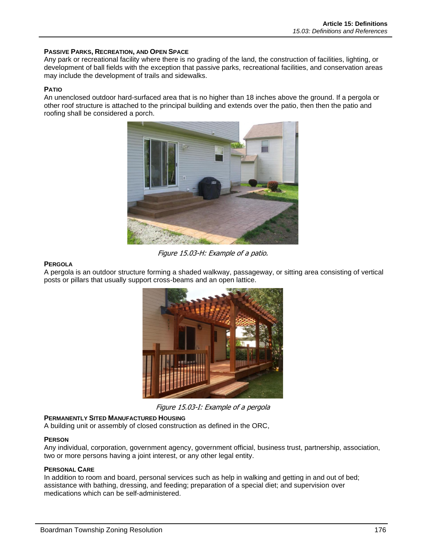### **PASSIVE PARKS, RECREATION, AND OPEN SPACE**

Any park or recreational facility where there is no grading of the land, the construction of facilities, lighting, or development of ball fields with the exception that passive parks, recreational facilities, and conservation areas may include the development of trails and sidewalks.

### **PATIO**

An unenclosed outdoor hard-surfaced area that is no higher than 18 inches above the ground. If a pergola or other roof structure is attached to the principal building and extends over the patio, then then the patio and roofing shall be considered a porch.



Figure 15.03-H: Example of a patio.

### **PERGOLA**

A pergola is an outdoor structure forming a shaded walkway, passageway, or sitting area consisting of vertical posts or pillars that usually support cross-beams and an open lattice.



Figure 15.03-I: Example of a pergola

### **PERMANENTLY SITED MANUFACTURED HOUSING**

A building unit or assembly of closed construction as defined in the ORC,

#### **PERSON**

Any individual, corporation, government agency, government official, business trust, partnership, association, two or more persons having a joint interest, or any other legal entity.

### **PERSONAL CARE**

In addition to room and board, personal services such as help in walking and getting in and out of bed; assistance with bathing, dressing, and feeding; preparation of a special diet; and supervision over medications which can be self-administered.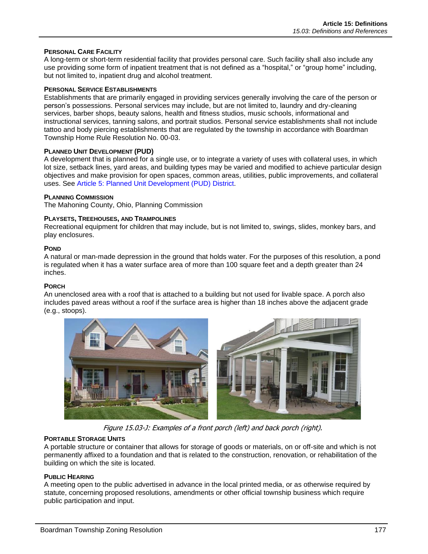### **PERSONAL CARE FACILITY**

A long-term or short-term residential facility that provides personal care. Such facility shall also include any use providing some form of inpatient treatment that is not defined as a "hospital," or "group home" including, but not limited to, inpatient drug and alcohol treatment.

### **PERSONAL SERVICE ESTABLISHMENTS**

Establishments that are primarily engaged in providing services generally involving the care of the person or person's possessions. Personal services may include, but are not limited to, laundry and dry-cleaning services, barber shops, beauty salons, health and fitness studios, music schools, informational and instructional services, tanning salons, and portrait studios. Personal service establishments shall not include tattoo and body piercing establishments that are regulated by the township in accordance with Boardman Township Home Rule Resolution No. 00-03.

### **PLANNED UNIT DEVELOPMENT (PUD)**

A development that is planned for a single use, or to integrate a variety of uses with collateral uses, in which lot size, setback lines, yard areas, and building types may be varied and modified to achieve particular design objectives and make provision for open spaces, common areas, utilities, public improvements, and collateral uses. See Article 5: Planned Unit Development (PUD) District.

### **PLANNING COMMISSION**

The Mahoning County, Ohio, Planning Commission

### **PLAYSETS, TREEHOUSES, AND TRAMPOLINES**

Recreational equipment for children that may include, but is not limited to, swings, slides, monkey bars, and play enclosures.

### **POND**

A natural or man-made depression in the ground that holds water. For the purposes of this resolution, a pond is regulated when it has a water surface area of more than 100 square feet and a depth greater than 24 inches.

### **PORCH**

An unenclosed area with a roof that is attached to a building but not used for livable space. A porch also includes paved areas without a roof if the surface area is higher than 18 inches above the adjacent grade (e.g., stoops).



Figure 15.03-J: Examples of a front porch (left) and back porch (right).

### **PORTABLE STORAGE UNITS**

A portable structure or container that allows for storage of goods or materials, on or off-site and which is not permanently affixed to a foundation and that is related to the construction, renovation, or rehabilitation of the building on which the site is located.

### **PUBLIC HEARING**

A meeting open to the public advertised in advance in the local printed media, or as otherwise required by statute, concerning proposed resolutions, amendments or other official township business which require public participation and input.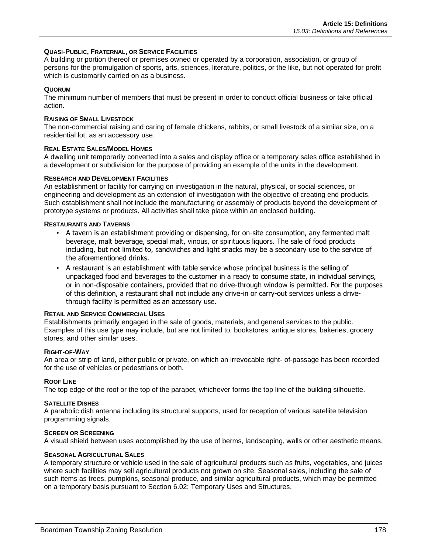### **QUASI-PUBLIC, FRATERNAL, OR SERVICE FACILITIES**

A building or portion thereof or premises owned or operated by a corporation, association, or group of persons for the promulgation of sports, arts, sciences, literature, politics, or the like, but not operated for profit which is customarily carried on as a business.

### **QUORUM**

The minimum number of members that must be present in order to conduct official business or take official action.

### **RAISING OF SMALL LIVESTOCK**

The non-commercial raising and caring of female chickens, rabbits, or small livestock of a similar size, on a residential lot, as an accessory use.

### **REAL ESTATE SALES/MODEL HOMES**

A dwelling unit temporarily converted into a sales and display office or a temporary sales office established in a development or subdivision for the purpose of providing an example of the units in the development.

### **RESEARCH AND DEVELOPMENT FACILITIES**

An establishment or facility for carrying on investigation in the natural, physical, or social sciences, or engineering and development as an extension of investigation with the objective of creating end products. Such establishment shall not include the manufacturing or assembly of products beyond the development of prototype systems or products. All activities shall take place within an enclosed building.

### **RESTAURANTS AND TAVERNS**

- A tavern is an establishment providing or dispensing, for on-site consumption, any fermented malt beverage, malt beverage, special malt, vinous, or spirituous liquors. The sale of food products including, but not limited to, sandwiches and light snacks may be a secondary use to the service of the aforementioned drinks.
- A restaurant is an establishment with table service whose principal business is the selling of unpackaged food and beverages to the customer in a ready to consume state, in individual servings, or in non-disposable containers, provided that no drive-through window is permitted. For the purposes of this definition, a restaurant shall not include any drive-in or carry-out services unless a drivethrough facility is permitted as an accessory use.

### **RETAIL AND SERVICE COMMERCIAL USES**

Establishments primarily engaged in the sale of goods, materials, and general services to the public. Examples of this use type may include, but are not limited to, bookstores, antique stores, bakeries, grocery stores, and other similar uses.

#### **RIGHT-OF-WAY**

An area or strip of land, either public or private, on which an irrevocable right- of-passage has been recorded for the use of vehicles or pedestrians or both.

### **ROOF LINE**

The top edge of the roof or the top of the parapet, whichever forms the top line of the building silhouette.

#### **SATELLITE DISHES**

A parabolic dish antenna including its structural supports, used for reception of various satellite television programming signals.

#### **SCREEN OR SCREENING**

A visual shield between uses accomplished by the use of berms, landscaping, walls or other aesthetic means.

### **SEASONAL AGRICULTURAL SALES**

A temporary structure or vehicle used in the sale of agricultural products such as fruits, vegetables, and juices where such facilities may sell agricultural products not grown on site. Seasonal sales, including the sale of such items as trees, pumpkins, seasonal produce, and similar agricultural products, which may be permitted on a temporary basis pursuant to Section 6.02: Temporary Uses and Structures.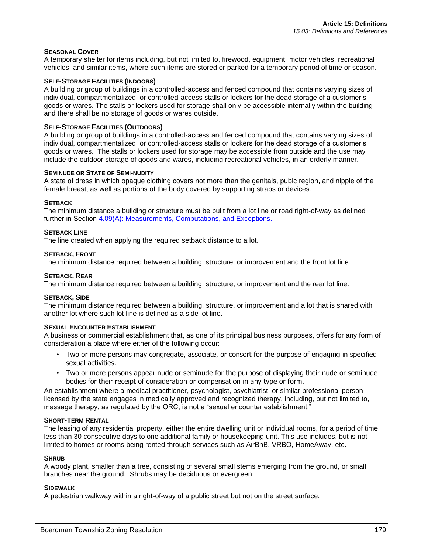### **SEASONAL COVER**

A temporary shelter for items including, but not limited to, firewood, equipment, motor vehicles, recreational vehicles, and similar items, where such items are stored or parked for a temporary period of time or season.

### **SELF-STORAGE FACILITIES (INDOORS)**

A building or group of buildings in a controlled-access and fenced compound that contains varying sizes of individual, compartmentalized, or controlled-access stalls or lockers for the dead storage of a customer's goods or wares. The stalls or lockers used for storage shall only be accessible internally within the building and there shall be no storage of goods or wares outside.

### **SELF-STORAGE FACILITIES (OUTDOORS)**

A building or group of buildings in a controlled-access and fenced compound that contains varying sizes of individual, compartmentalized, or controlled-access stalls or lockers for the dead storage of a customer's goods or wares. The stalls or lockers used for storage may be accessible from outside and the use may include the outdoor storage of goods and wares, including recreational vehicles, in an orderly manner.

### **SEMINUDE OR STATE OF SEMI-NUDITY**

A state of dress in which opaque clothing covers not more than the genitals, pubic region, and nipple of the female breast, as well as portions of the body covered by supporting straps or devices.

### **SETBACK**

The minimum distance a building or structure must be built from a lot line or road right-of-way as defined further in Section 4.09(A): Measurements, Computations, and Exceptions.

### **SETBACK LINE**

The line created when applying the required setback distance to a lot.

### **SETBACK, FRONT**

The minimum distance required between a building, structure, or improvement and the front lot line.

### **SETBACK, REAR**

The minimum distance required between a building, structure, or improvement and the rear lot line.

#### **SETBACK, SIDE**

The minimum distance required between a building, structure, or improvement and a lot that is shared with another lot where such lot line is defined as a side lot line.

### **SEXUAL ENCOUNTER ESTABLISHMENT**

A business or commercial establishment that, as one of its principal business purposes, offers for any form of consideration a place where either of the following occur:

- Two or more persons may congregate, associate, or consort for the purpose of engaging in specified sexual activities.
- Two or more persons appear nude or seminude for the purpose of displaying their nude or seminude bodies for their receipt of consideration or compensation in any type or form.

An establishment where a medical practitioner, psychologist, psychiatrist, or similar professional person licensed by the state engages in medically approved and recognized therapy, including, but not limited to, massage therapy, as regulated by the ORC, is not a "sexual encounter establishment."

#### **SHORT-TERM RENTAL**

The leasing of any residential property, either the entire dwelling unit or individual rooms, for a period of time less than 30 consecutive days to one additional family or housekeeping unit. This use includes, but is not limited to homes or rooms being rented through services such as AirBnB, VRBO, HomeAway, etc.

### **SHRUB**

A woody plant, smaller than a tree, consisting of several small stems emerging from the ground, or small branches near the ground. Shrubs may be deciduous or evergreen.

### **SIDEWALK**

A pedestrian walkway within a right-of-way of a public street but not on the street surface.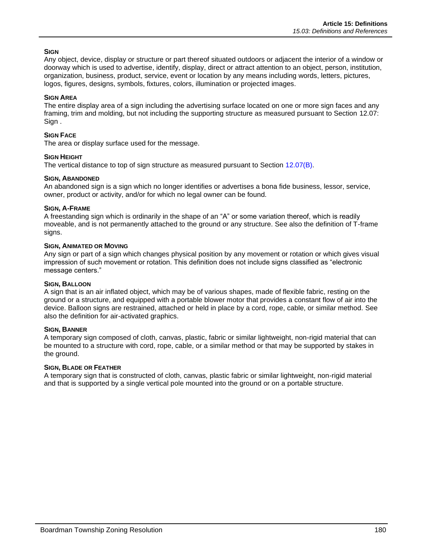### **SIGN**

Any object, device, display or structure or part thereof situated outdoors or adjacent the interior of a window or doorway which is used to advertise, identify, display, direct or attract attention to an object, person, institution, organization, business, product, service, event or location by any means including words, letters, pictures, logos, figures, designs, symbols, fixtures, colors, illumination or projected images.

### **SIGN AREA**

The entire display area of a sign including the advertising surface located on one or more sign faces and any framing, trim and molding, but not including the supporting structure as measured pursuant to Section 12.07: Sign .

### **SIGN FACE**

The area or display surface used for the message.

### **SIGN HEIGHT**

The vertical distance to top of sign structure as measured pursuant to Section 12.07(B).

### **SIGN, ABANDONED**

An abandoned sign is a sign which no longer identifies or advertises a bona fide business, lessor, service, owner, product or activity, and/or for which no legal owner can be found.

### **SIGN, A-FRAME**

A freestanding sign which is ordinarily in the shape of an "A" or some variation thereof, which is readily moveable, and is not permanently attached to the ground or any structure. See also the definition of T-frame signs.

### **SIGN, ANIMATED OR MOVING**

Any sign or part of a sign which changes physical position by any movement or rotation or which gives visual impression of such movement or rotation. This definition does not include signs classified as "electronic message centers."

### **SIGN, BALLOON**

A sign that is an air inflated object, which may be of various shapes, made of flexible fabric, resting on the ground or a structure, and equipped with a portable blower motor that provides a constant flow of air into the device. Balloon signs are restrained, attached or held in place by a cord, rope, cable, or similar method. See also the definition for air-activated graphics.

### **SIGN, BANNER**

A temporary sign composed of cloth, canvas, plastic, fabric or similar lightweight, non-rigid material that can be mounted to a structure with cord, rope, cable, or a similar method or that may be supported by stakes in the ground.

### **SIGN, BLADE OR FEATHER**

A temporary sign that is constructed of cloth, canvas, plastic fabric or similar lightweight, non-rigid material and that is supported by a single vertical pole mounted into the ground or on a portable structure.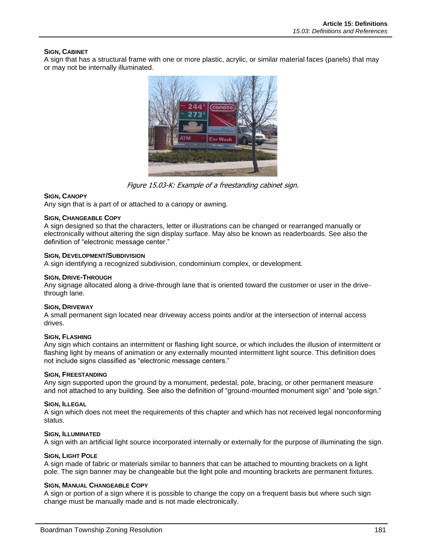### **SIGN, CABINET**

A sign that has a structural frame with one or more plastic, acrylic, or similar material faces (panels) that may or may not be internally illuminated.



Figure 15.03-K: Example of a freestanding cabinet sign.

### **SIGN, CANOPY**

Any sign that is a part of or attached to a canopy or awning.

### **SIGN, CHANGEABLE COPY**

A sign designed so that the characters, letter or illustrations can be changed or rearranged manually or electronically without altering the sign display surface. May also be known as readerboards. See also the definition of "electronic message center."

### **SIGN, DEVELOPMENT/SUBDIVISION**

A sign identifying a recognized subdivision, condominium complex, or development.

### **SIGN, DRIVE-THROUGH**

Any signage allocated along a drive-through lane that is oriented toward the customer or user in the drivethrough lane.

### **SIGN, DRIVEWAY**

A small permanent sign located near driveway access points and/or at the intersection of internal access drives.

### **SIGN, FLASHING**

Any sign which contains an intermittent or flashing light source, or which includes the illusion of intermittent or flashing light by means of animation or any externally mounted intermittent light source. This definition does not include signs classified as "electronic message centers."

### **SIGN, FREESTANDING**

Any sign supported upon the ground by a monument, pedestal, pole, bracing, or other permanent measure and not attached to any building. See also the definition of "ground-mounted monument sign" and "pole sign."

### **SIGN, ILLEGAL**

A sign which does not meet the requirements of this chapter and which has not received legal nonconforming status.

#### **SIGN, ILLUMINATED**

A sign with an artificial light source incorporated internally or externally for the purpose of illuminating the sign.

### **SIGN, LIGHT POLE**

A sign made of fabric or materials similar to banners that can be attached to mounting brackets on a light pole. The sign banner may be changeable but the light pole and mounting brackets are permanent fixtures.

#### **SIGN, MANUAL CHANGEABLE COPY**

A sign or portion of a sign where it is possible to change the copy on a frequent basis but where such sign change must be manually made and is not made electronically.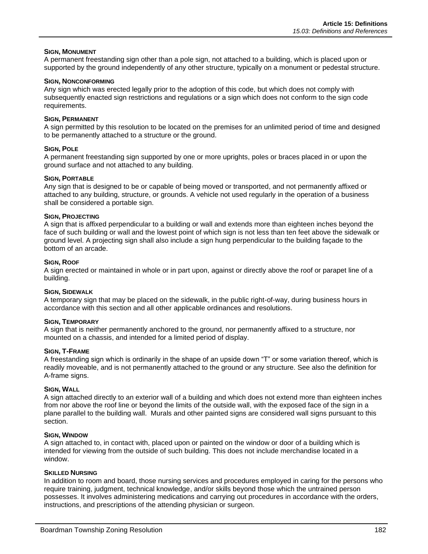### **SIGN, MONUMENT**

A permanent freestanding sign other than a pole sign, not attached to a building, which is placed upon or supported by the ground independently of any other structure, typically on a monument or pedestal structure.

### **SIGN, NONCONFORMING**

Any sign which was erected legally prior to the adoption of this code, but which does not comply with subsequently enacted sign restrictions and regulations or a sign which does not conform to the sign code requirements.

### **SIGN, PERMANENT**

A sign permitted by this resolution to be located on the premises for an unlimited period of time and designed to be permanently attached to a structure or the ground.

### **SIGN, POLE**

A permanent freestanding sign supported by one or more uprights, poles or braces placed in or upon the ground surface and not attached to any building.

### **SIGN, PORTABLE**

Any sign that is designed to be or capable of being moved or transported, and not permanently affixed or attached to any building, structure, or grounds. A vehicle not used regularly in the operation of a business shall be considered a portable sign.

### **SIGN, PROJECTING**

A sign that is affixed perpendicular to a building or wall and extends more than eighteen inches beyond the face of such building or wall and the lowest point of which sign is not less than ten feet above the sidewalk or ground level. A projecting sign shall also include a sign hung perpendicular to the building façade to the bottom of an arcade.

### **SIGN, ROOF**

A sign erected or maintained in whole or in part upon, against or directly above the roof or parapet line of a building.

### **SIGN, SIDEWALK**

A temporary sign that may be placed on the sidewalk, in the public right-of-way, during business hours in accordance with this section and all other applicable ordinances and resolutions.

### **SIGN, TEMPORARY**

A sign that is neither permanently anchored to the ground, nor permanently affixed to a structure, nor mounted on a chassis, and intended for a limited period of display.

### **SIGN, T-FRAME**

A freestanding sign which is ordinarily in the shape of an upside down "T" or some variation thereof, which is readily moveable, and is not permanently attached to the ground or any structure. See also the definition for A-frame signs.

### **SIGN, WALL**

A sign attached directly to an exterior wall of a building and which does not extend more than eighteen inches from nor above the roof line or beyond the limits of the outside wall, with the exposed face of the sign in a plane parallel to the building wall. Murals and other painted signs are considered wall signs pursuant to this section.

### **SIGN, WINDOW**

A sign attached to, in contact with, placed upon or painted on the window or door of a building which is intended for viewing from the outside of such building. This does not include merchandise located in a window.

### **SKILLED NURSING**

In addition to room and board, those nursing services and procedures employed in caring for the persons who require training, judgment, technical knowledge, and/or skills beyond those which the untrained person possesses. It involves administering medications and carrying out procedures in accordance with the orders, instructions, and prescriptions of the attending physician or surgeon.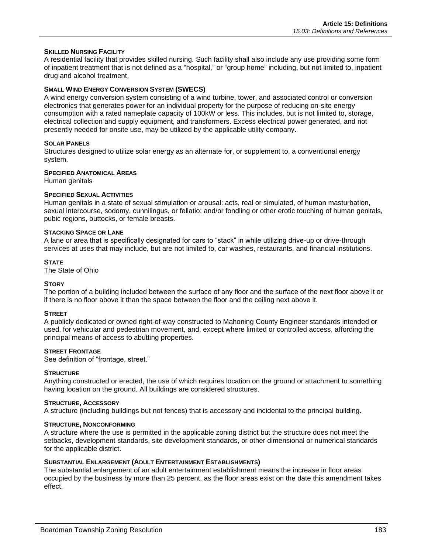### **SKILLED NURSING FACILITY**

A residential facility that provides skilled nursing. Such facility shall also include any use providing some form of inpatient treatment that is not defined as a "hospital," or "group home" including, but not limited to, inpatient drug and alcohol treatment.

### **SMALL WIND ENERGY CONVERSION SYSTEM (SWECS)**

A wind energy conversion system consisting of a wind turbine, tower, and associated control or conversion electronics that generates power for an individual property for the purpose of reducing on-site energy consumption with a rated nameplate capacity of 100kW or less. This includes, but is not limited to, storage, electrical collection and supply equipment, and transformers. Excess electrical power generated, and not presently needed for onsite use, may be utilized by the applicable utility company.

### **SOLAR PANELS**

Structures designed to utilize solar energy as an alternate for, or supplement to, a conventional energy system.

### **SPECIFIED ANATOMICAL AREAS**

Human genitals

### **SPECIFIED SEXUAL ACTIVITIES**

Human genitals in a state of sexual stimulation or arousal: acts, real or simulated, of human masturbation, sexual intercourse, sodomy, cunnilingus, or fellatio; and/or fondling or other erotic touching of human genitals, pubic regions, buttocks, or female breasts.

#### **STACKING SPACE OR LANE**

A lane or area that is specifically designated for cars to "stack" in while utilizing drive-up or drive-through services at uses that may include, but are not limited to, car washes, restaurants, and financial institutions.

### **STATE**

The State of Ohio

### **STORY**

The portion of a building included between the surface of any floor and the surface of the next floor above it or if there is no floor above it than the space between the floor and the ceiling next above it.

### **STREET**

A publicly dedicated or owned right-of-way constructed to Mahoning County Engineer standards intended or used, for vehicular and pedestrian movement, and, except where limited or controlled access, affording the principal means of access to abutting properties.

### **STREET FRONTAGE**

See definition of "frontage, street."

#### **STRUCTURE**

Anything constructed or erected, the use of which requires location on the ground or attachment to something having location on the ground. All buildings are considered structures.

#### **STRUCTURE, ACCESSORY**

A structure (including buildings but not fences) that is accessory and incidental to the principal building.

#### **STRUCTURE, NONCONFORMING**

A structure where the use is permitted in the applicable zoning district but the structure does not meet the setbacks, development standards, site development standards, or other dimensional or numerical standards for the applicable district.

#### **SUBSTANTIAL ENLARGEMENT (ADULT ENTERTAINMENT ESTABLISHMENTS)**

The substantial enlargement of an adult entertainment establishment means the increase in floor areas occupied by the business by more than 25 percent, as the floor areas exist on the date this amendment takes effect.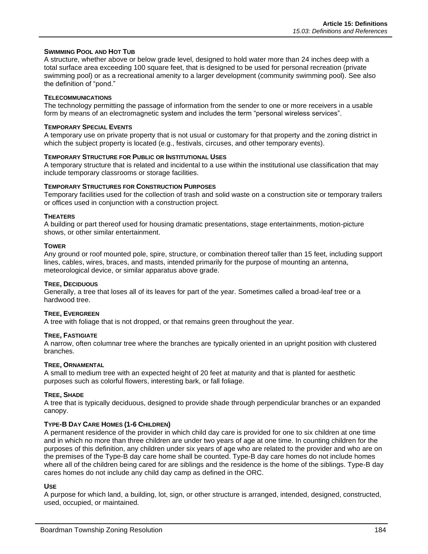### **SWIMMING POOL AND HOT TUB**

A structure, whether above or below grade level, designed to hold water more than 24 inches deep with a total surface area exceeding 100 square feet, that is designed to be used for personal recreation (private swimming pool) or as a recreational amenity to a larger development (community swimming pool). See also the definition of "pond."

### **TELECOMMUNICATIONS**

The technology permitting the passage of information from the sender to one or more receivers in a usable form by means of an electromagnetic system and includes the term "personal wireless services".

#### **TEMPORARY SPECIAL EVENTS**

A temporary use on private property that is not usual or customary for that property and the zoning district in which the subject property is located (e.g., festivals, circuses, and other temporary events).

#### **TEMPORARY STRUCTURE FOR PUBLIC OR INSTITUTIONAL USES**

A temporary structure that is related and incidental to a use within the institutional use classification that may include temporary classrooms or storage facilities.

### **TEMPORARY STRUCTURES FOR CONSTRUCTION PURPOSES**

Temporary facilities used for the collection of trash and solid waste on a construction site or temporary trailers or offices used in conjunction with a construction project.

### **THEATERS**

A building or part thereof used for housing dramatic presentations, stage entertainments, motion-picture shows, or other similar entertainment.

#### **TOWER**

Any ground or roof mounted pole, spire, structure, or combination thereof taller than 15 feet, including support lines, cables, wires, braces, and masts, intended primarily for the purpose of mounting an antenna, meteorological device, or similar apparatus above grade.

### **TREE, DECIDUOUS**

Generally, a tree that loses all of its leaves for part of the year. Sometimes called a broad-leaf tree or a hardwood tree.

### **TREE, EVERGREEN**

A tree with foliage that is not dropped, or that remains green throughout the year.

#### **TREE, FASTIGIATE**

A narrow, often columnar tree where the branches are typically oriented in an upright position with clustered branches.

#### **TREE, ORNAMENTAL**

A small to medium tree with an expected height of 20 feet at maturity and that is planted for aesthetic purposes such as colorful flowers, interesting bark, or fall foliage.

#### **TREE, SHADE**

A tree that is typically deciduous, designed to provide shade through perpendicular branches or an expanded canopy.

### **TYPE-B DAY CARE HOMES (1-6 CHILDREN)**

A permanent residence of the provider in which child day care is provided for one to six children at one time and in which no more than three children are under two years of age at one time. In counting children for the purposes of this definition, any children under six years of age who are related to the provider and who are on the premises of the Type-B day care home shall be counted. Type-B day care homes do not include homes where all of the children being cared for are siblings and the residence is the home of the siblings. Type-B day cares homes do not include any child day camp as defined in the ORC.

#### **USE**

A purpose for which land, a building, lot, sign, or other structure is arranged, intended, designed, constructed, used, occupied, or maintained.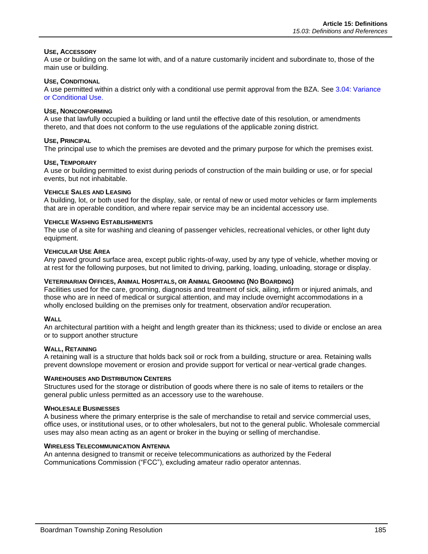### **USE, ACCESSORY**

A use or building on the same lot with, and of a nature customarily incident and subordinate to, those of the main use or building.

### **USE, CONDITIONAL**

A use permitted within a district only with a conditional use permit approval from the BZA. See 3.04: Variance or Conditional Use.

### **USE, NONCONFORMING**

A use that lawfully occupied a building or land until the effective date of this resolution, or amendments thereto, and that does not conform to the use regulations of the applicable zoning district.

### **USE, PRINCIPAL**

The principal use to which the premises are devoted and the primary purpose for which the premises exist.

### **USE, TEMPORARY**

A use or building permitted to exist during periods of construction of the main building or use, or for special events, but not inhabitable.

### **VEHICLE SALES AND LEASING**

A building, lot, or both used for the display, sale, or rental of new or used motor vehicles or farm implements that are in operable condition, and where repair service may be an incidental accessory use.

### **VEHICLE WASHING ESTABLISHMENTS**

The use of a site for washing and cleaning of passenger vehicles, recreational vehicles, or other light duty equipment.

### **VEHICULAR USE AREA**

Any paved ground surface area, except public rights-of-way, used by any type of vehicle, whether moving or at rest for the following purposes, but not limited to driving, parking, loading, unloading, storage or display.

### **VETERINARIAN OFFICES, ANIMAL HOSPITALS, OR ANIMAL GROOMING (NO BOARDING)**

Facilities used for the care, grooming, diagnosis and treatment of sick, ailing, infirm or injured animals, and those who are in need of medical or surgical attention, and may include overnight accommodations in a wholly enclosed building on the premises only for treatment, observation and/or recuperation.

### **WALL**

An architectural partition with a height and length greater than its thickness; used to divide or enclose an area or to support another structure

### **WALL, RETAINING**

A retaining wall is a structure that holds back soil or rock from a building, structure or area. Retaining walls prevent downslope movement or erosion and provide support for vertical or near-vertical grade changes.

### **WAREHOUSES AND DISTRIBUTION CENTERS**

Structures used for the storage or distribution of goods where there is no sale of items to retailers or the general public unless permitted as an accessory use to the warehouse.

### **WHOLESALE BUSINESSES**

A business where the primary enterprise is the sale of merchandise to retail and service commercial uses, office uses, or institutional uses, or to other wholesalers, but not to the general public. Wholesale commercial uses may also mean acting as an agent or broker in the buying or selling of merchandise.

### **WIRELESS TELECOMMUNICATION ANTENNA**

An antenna designed to transmit or receive telecommunications as authorized by the Federal Communications Commission ("FCC"), excluding amateur radio operator antennas.